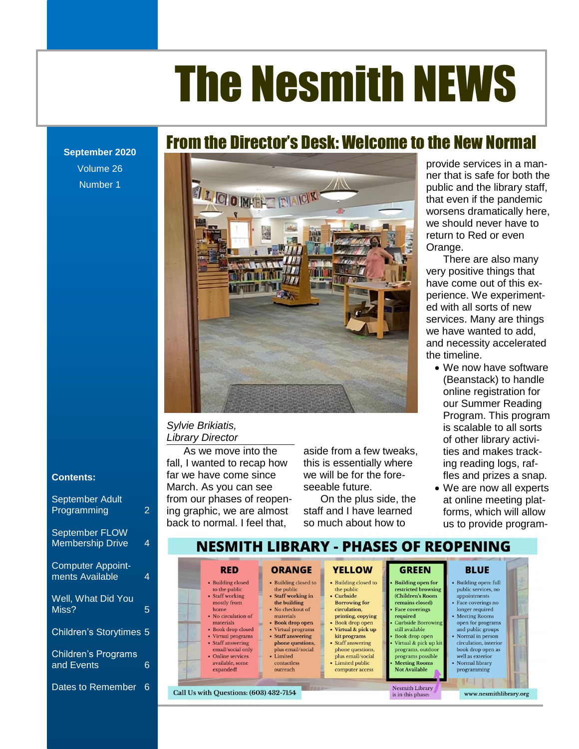**September 2020** Volume 26 Number 1

### From the Director's Desk: Welcome to the New Normal



#### *Sylvie Brikiatis, Library Director*

wardm. As you can see<br>from our phases of reopen-As we move into the fall, I wanted to recap how far we have come since March. As you can see ing graphic, we are almost back to normal. I feel that,

bather come since we will be for the fore- fles and prizes a snap. seeable future.

> On the plus side, the staff and I have learned so much about how to

provide services in a manner that is safe for both the public and the library staff, Orange.

services. Many are things we have wanted to add, and necessity accelerated the timeline.

- Upcoming Young Adult Events [...........................................................................................................](file:///C:/Users/Joyce/Documents/Nesmith/2013/Feb%202013/NN02_13.doc%23_Toc347430584) **Error! Bookmark not defined.** is scalable to all sorts The Director<br>The Director Challenge. The Discussion of other library activi-[From the Children's Room: February Vacation Programs...................................................................](file:///C:/Users/Joyce/Documents/Nesmith/2013/Feb%202013/NN02_13.doc%23_Toc347430586) **Error! Bookmark not defined.** s we move into the aside from a few tweaks, ities and makes trackwanted to recap how this is essentially where ing reading logs, rafonline registration for ties and makes tracking reading logs, raffles and prizes a snap.
	- We are now all experts at online meeting platforms, which will allow us to provide program-

www.nesmithlibrary.org

#### **Contents:**

| <b>September Adult</b><br>Programming       | 2 |
|---------------------------------------------|---|
| September FLOW<br><b>Membership Drive</b>   | 4 |
| <b>Computer Appoint-</b><br>ments Available | 4 |
| Well, What Did You<br>Miss?                 | 5 |
| Children's Storytimes 5                     |   |
| <b>Children's Programs</b><br>and Events    | 6 |
| Dates to Remember                           | 6 |

#### NESMITH LIBRARY - PHASES OF REOPENING **ORANGE YELLOW GREEN RED BLUE** • Building closed • Building closed to • Building closed to **Building open for** · Building open: full restricted browsing public services, no to the public the public the public (Children's Room appointments • Staff working • Staff working in Curbside the building mostly from **Borrowing for** remains closed) Face coverings no • No checkout of circulation. **Face coverings** home longer required · No circulation of printing, copying required • Meeting Rooms materials materials • Book drop open • Book drop open<br>• Virtual & pick up Curbside Borrowin open for programs · Book drop closed still available and public groups • Virtual programs Book drop open • Staff answering Normal in person • Virtual programs kit programs • Staff answering phone questions • Staff answering Virtual & pick up kit circulation, interior email/social only plus email/social book drop open as phone questions programs, outdoor · Limited plus email/social well as exterior  $\bullet$  Online services programs possible Normal library available, some contactless • Limited public **Meeting Rooms** expanded! Not Available outreach computer access programming

**Nesmith Library** 

is in this phase:

Call Us with Questions: (603) 432-7154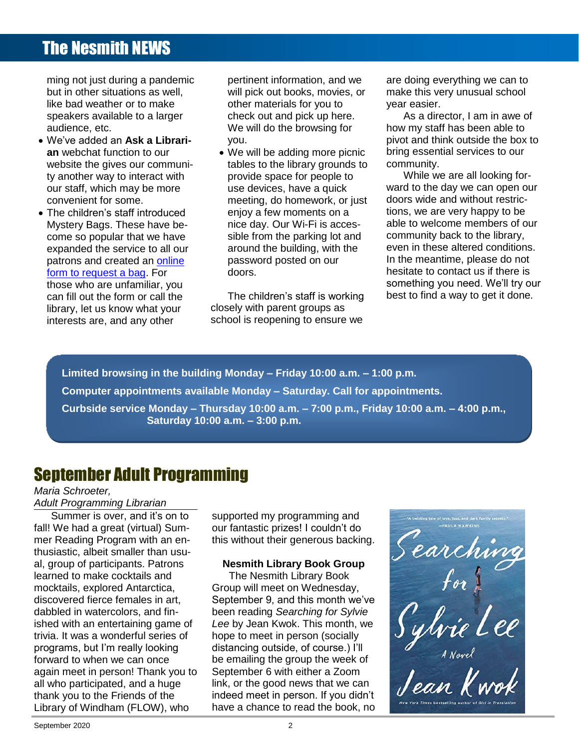ming not just during a pandemic but in other situations as well, like bad weather or to make speakers available to a larger audience, etc.

- We've added an **Ask a Librarian** webchat function to our website the gives our community another way to interact with our staff, which may be more convenient for some.
- The children's staff introduced Mystery Bags. These have become so popular that we have expanded the service to all our patrons and created an [online](https://docs.google.com/forms/d/e/1FAIpQLSdocRC81u78k_W2q4TXATClKIE-lb4kT8K8u4v4JOGW-Vp7kg/viewform)  [form to request a bag.](https://docs.google.com/forms/d/e/1FAIpQLSdocRC81u78k_W2q4TXATClKIE-lb4kT8K8u4v4JOGW-Vp7kg/viewform) For those who are unfamiliar, you can fill out the form or call the library, let us know what your interests are, and any other

pertinent information, and we will pick out books, movies, or other materials for you to check out and pick up here. We will do the browsing for you.

• We will be adding more picnic tables to the library grounds to provide space for people to use devices, have a quick meeting, do homework, or just enjoy a few moments on a nice day. Our Wi-Fi is accessible from the parking lot and around the building, with the password posted on our doors.

The children's staff is working closely with parent groups as school is reopening to ensure we

are doing everything we can to make this very unusual school year easier.

As a director, I am in awe of how my staff has been able to pivot and think outside the box to bring essential services to our community.

While we are all looking forward to the day we can open our doors wide and without restrictions, we are very happy to be able to welcome members of our community back to the library, even in these altered conditions. In the meantime, please do not hesitate to contact us if there is something you need. We'll try our best to find a way to get it done.

**Limited browsing in the building Monday – Friday 10:00 a.m. – 1:00 p.m. Computer appointments available Monday – Saturday. Call for appointments. Curbside service Monday – Thursday 10:00 a.m. – 7:00 p.m., Friday 10:00 a.m. – 4:00 p.m., Saturday 10:00 a.m. – 3:00 p.m.**

### September Adult Programming

*Maria Schroeter, Adult Programming Librarian*

**Commer is over, and it's on to Contents** all who participated, and a huge fall! We had a great (virtual) Summer Reading Program with an enthusiastic, albeit smaller than usual, group of participants. Patrons learned to make cocktails and mocktails, explored Antarctica, discovered fierce females in art, dabbled in watercolors, and finished with an entertaining game of trivia. It was a wonderful series of programs, but I'm really looking forward to when we can once again meet in person! Thank you to thank you to the Friends of the Library of Windham (FLOW), who

The News, Ne had a great (virtual) Sum- our fantastic prizes! I couldn't do Reading Program with an en-<br>Reading Program with an en-<br>
this without their generous backing. supported my programming and our fantastic prizes! I couldn't do

#### **Nesmith Library Book Group**

The Reference Corner: Pollution [.........................................................................................................](file:///C:/Users/Joyce/Documents/Nesmith/2013/Feb%202013/NN02_13.doc%23_Toc347430553)**Error! Bookmark not defined.** tails, explored Antarctica, Group will meet on Wednesday, Enterthelium of the first results in the first of the vered fierce females in art, September 9, and this month we've [From the Children's Room: February Vacation Programs](file:///C:/Users/Joyce/Documents/Nesmith/2013/Feb%202013/NN02_13.doc%23_Toc347430556) ...................................................................**Error! Bookmark not defined.** Toddler Story Time [..............................................................................................................................](file:///C:/Users/Joyce/Documents/Nesmith/2013/Feb%202013/NN02_13.doc%23_Toc347430557)**Error! Bookmark not defined.** While an entertaining game of Lee by Jean Kwok. This month, we **but all that if the company of the first** It was a wonderful series of nope to meet in person (socially and the control of the control of the control of The Network II is easily contained the Newson Control of the Newson Control of the Newson Control of the Network y of Windham (FLOW), who have a chance to read the book, no The Nesmith Library Book Group will meet on Wednesday, been reading *Searching for Sylvie Lee* by Jean Kwok. This month, we hope to meet in person (socially distancing outside, of course.) I'll be emailing the group the week of September 6 with either a Zoom link, or the good news that we can indeed meet in person. If you didn't

Dreams [................................................................................................................................................](file:///C:/Users/Joyce/Documents/Nesmith/2013/Feb%202013/NN02_13.doc%23_Toc347430550)**Error! Bookmark not defined.** New Orleans Detroit Detroit in the United States of the United States of the United States of the United States of the United States of the United States of the United States of the United States of the United States of th sup or paraciparities. Factories **Reserved.** Entering book croup  $\overline{\phantom{a}}$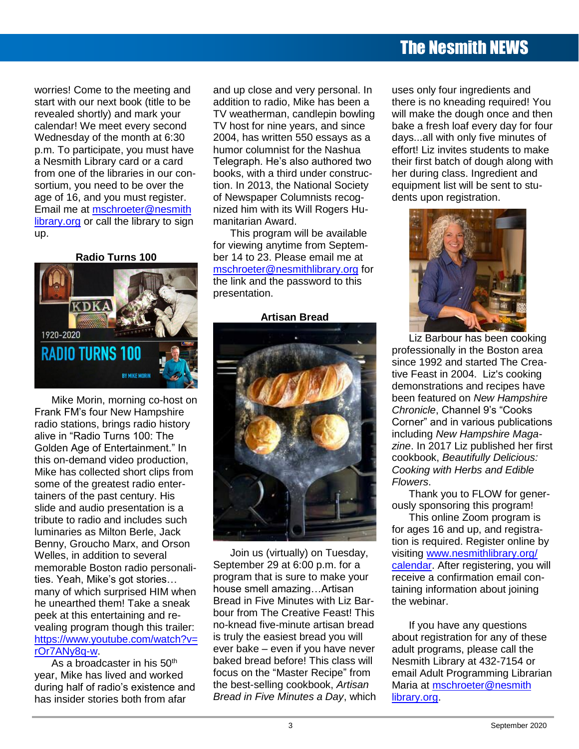worries! Come to the meeting and start with our next book (title to be revealed shortly) and mark your calendar! We meet every second Wednesday of the month at 6:30 p.m. To participate, you must have a Nesmith Library card or a card from one of the libraries in our consortium, you need to be over the age of 16, and you must register. Email me at [mschroeter@nesmith](mailto:mschroeter@nesmithlibrary.org) [library.org](mailto:mschroeter@nesmithlibrary.org) or call the library to sign up.

**Radio Turns 100**



Mike Morin, morning co-host on Frank FM's four New Hampshire radio stations, brings radio history alive in "Radio Turns 100: The Golden Age of Entertainment." In this on-demand video production, Mike has collected short clips from some of the greatest radio entertainers of the past century. His slide and audio presentation is a tribute to radio and includes such luminaries as Milton Berle, Jack Benny, Groucho Marx, and Orson Welles, in addition to several memorable Boston radio personalities. Yeah, Mike's got stories… many of which surprised HIM when he unearthed them! Take a sneak peek at this entertaining and revealing program though this trailer: [https://www.youtube.com/watch?v=](https://www.youtube.com/watch?v=rOr7ANy8q-w) [rOr7ANy8q-w.](https://www.youtube.com/watch?v=rOr7ANy8q-w)

As a broadcaster in his  $50<sup>th</sup>$ year, Mike has lived and worked during half of radio's existence and has insider stories both from afar

and up close and very personal. In addition to radio, Mike has been a TV weatherman, candlepin bowling TV host for nine years, and since 2004, has written 550 essays as a humor columnist for the Nashua Telegraph. He's also authored two books, with a third under construction. In 2013, the National Society of Newspaper Columnists recognized him with its Will Rogers Humanitarian Award.

This program will be available for viewing anytime from September 14 to 23. Please email me at [mschroeter@nesmithlibrary.org](mailto:mschroeter@nesmithlibrary.org) for the link and the password to this presentation.

#### **Artisan Bread**



Join us (virtually) on Tuesday, September 29 at 6:00 p.m. for a program that is sure to make your house smell amazing…Artisan Bread in Five Minutes with Liz Barbour from The Creative Feast! This no-knead five-minute artisan bread is truly the easiest bread you will ever bake – even if you have never baked bread before! This class will focus on the "Master Recipe" from the best-selling cookbook, *Artisan Bread in Five Minutes a Day*, which uses only four ingredients and there is no kneading required! You will make the dough once and then bake a fresh loaf every day for four days...all with only five minutes of effort! Liz invites students to make their first batch of dough along with her during class. Ingredient and equipment list will be sent to students upon registration.



Liz Barbour has been cooking professionally in the Boston area since 1992 and started The Creative Feast in 2004. Liz's cooking demonstrations and recipes have been featured on *New Hampshire Chronicle*, Channel 9's "Cooks Corner" and in various publications including *New Hampshire Magazine*. In 2017 Liz published her first cookbook, *Beautifully Delicious: Cooking with Herbs and Edible Flowers*.

Thank you to FLOW for generously sponsoring this program!

This online Zoom program is for ages 16 and up, and registration is required. Register online by visiting [www.nesmithlibrary.org/](http://www.nesmithlibrary.org/calendar) [calendar.](http://www.nesmithlibrary.org/calendar) After registering, you will receive a confirmation email containing information about joining the webinar.

If you have any questions about registration for any of these adult programs, please call the Nesmith Library at 432-7154 or email Adult Programming Librarian Maria at [mschroeter@nesmith](mailto:mschroeter@nesmithlibrary.org) [library.org.](mailto:mschroeter@nesmithlibrary.org)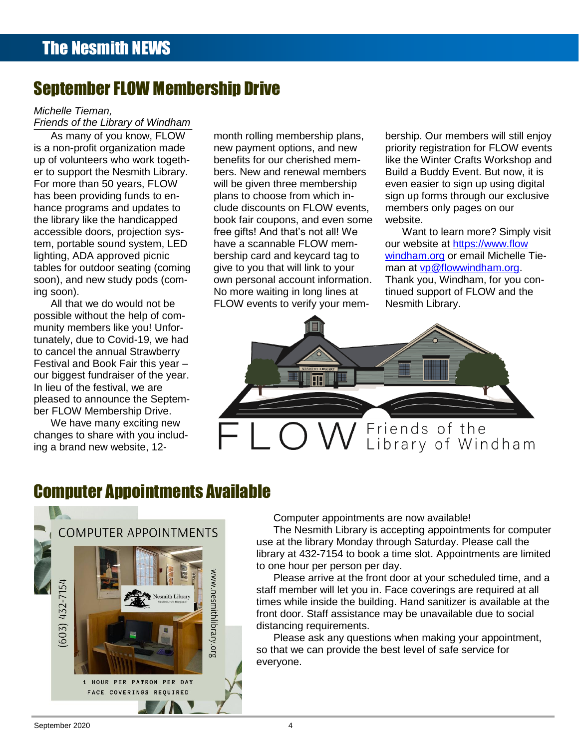### September FLOW Membership Drive

#### *Michelle Tieman,*

*Friends of the Library of Windham*

As many of you know, FLOW is a non-profit organization made up of volunteers who work together to support the Nesmith Library. For more than 50 years, FLOW has been providing funds to enhance programs and updates to the library like the handicapped accessible doors, projection system, portable sound system, LED lighting, ADA approved picnic tables for outdoor seating (coming soon), and new study pods (coming soon).

All that we do would not be possible without the help of community members like you! Unfortunately, due to Covid-19, we had to cancel the annual Strawberry Festival and Book Fair this year – our biggest fundraiser of the year. In lieu of the festival, we are pleased to announce the September FLOW Membership Drive.

We have many exciting new changes to share with you including a brand new website, 12-

month rolling membership plans, new payment options, and new benefits for our cherished members. New and renewal members will be given three membership plans to choose from which include discounts on FLOW events, book fair coupons, and even some free gifts! And that's not all! We have a scannable FLOW membership card and keycard tag to give to you that will link to your own personal account information. No more waiting in long lines at FLOW events to verify your membership. Our members will still enjoy priority registration for FLOW events like the Winter Crafts Workshop and Build a Buddy Event. But now, it is even easier to sign up using digital sign up forms through our exclusive members only pages on our website.

Want to learn more? Simply visit our website at [https://www.flow](https://www.flowwindham.org/) [windham.org](https://www.flowwindham.org/) or email Michelle Tieman at [vp@flowwindham.org.](mailto:vp@flowwindham.org) Thank you, Windham, for you continued support of FLOW and the Nesmith Library.



### Computer Appointments Available



Computer appointments are now available!

The Nesmith Library is accepting appointments for computer use at the library Monday through Saturday. Please call the library at 432-7154 to book a time slot. Appointments are limited to one hour per person per day.

Please arrive at the front door at your scheduled time, and a staff member will let you in. Face coverings are required at all times while inside the building. Hand sanitizer is available at the front door. Staff assistance may be unavailable due to social distancing requirements.

Please ask any questions when making your appointment, so that we can provide the best level of safe service for everyone.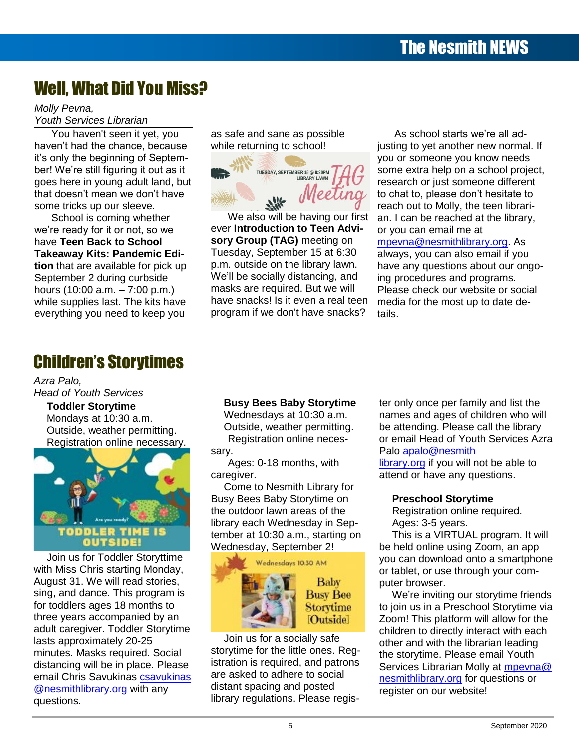### Well, What Did You Miss?

*Molly Pevna, Youth Services Librarian*

You haven't seen it yet, you haven't had the chance, because it's only the beginning of September! We're still figuring it out as it goes here in young adult land, but that doesn't mean we don't have some tricks up our sleeve.

School is coming whether we're ready for it or not, so we have **Teen Back to School Takeaway Kits: Pandemic Edition** that are available for pick up September 2 during curbside hours (10:00 a.m. – 7:00 p.m.) while supplies last. The kits have everything you need to keep you

as safe and sane as possible while returning to school!



We also will be having our first ever **Introduction to Teen Advisory Group (TAG)** meeting on Tuesday, September 15 at 6:30 p.m. outside on the library lawn. We'll be socially distancing, and masks are required. But we will have snacks! Is it even a real teen program if we don't have snacks?

As school starts we're all adjusting to yet another new normal. If you or someone you know needs some extra help on a school project, research or just someone different to chat to, please don't hesitate to reach out to Molly, the teen librarian. I can be reached at the library, or you can email me at [mpevna@nesmithlibrary.org.](mailto:mpevna@nesmithlibrary.org) As always, you can also email if you have any questions about our ongoing procedures and programs. Please check our website or social media for the most up to date de-

### Children's Storytimes

*Azra Palo, Head of Youth Services*

> **Toddler Storytime** Mondays at 10:30 a.m. Outside, weather permitting. Registration online necessary.



Join us for Toddler Storyttime with Miss Chris starting Monday, August 31. We will read stories, sing, and dance. This program is for toddlers ages 18 months to three years accompanied by an adult caregiver. Toddler Storytime lasts approximately 20-25 minutes. Masks required. Social distancing will be in place. Please email Chris Savukinas [csavukinas](mailto:csavukinas@nesmithlibrary.org) [@nesmithlibrary.org](mailto:csavukinas@nesmithlibrary.org) with any questions.

### **Busy Bees Baby Storytime**

Wednesdays at 10:30 a.m. Outside, weather permitting. Registration online neces-

sary.

Ages: 0-18 months, with caregiver.

Come to Nesmith Library for Busy Bees Baby Storytime on the outdoor lawn areas of the library each Wednesday in September at 10:30 a.m., starting on Wednesday, September 2!



Join us for a socially safe storytime for the little ones. Registration is required, and patrons are asked to adhere to social distant spacing and posted library regulations. Please register only once per family and list the names and ages of children who will be attending. Please call the library or email Head of Youth Services Azra Palo [apalo@nesmith](mailto:apalo@nesmithlibrary.org)

[library.org](mailto:apalo@nesmithlibrary.org) if you will not be able to attend or have any questions.

#### **Preschool Storytime**

tails.

Registration online required. Ages: 3-5 years.

This is a VIRTUAL program. It will be held online using Zoom, an app you can download onto a smartphone or tablet, or use through your computer browser.

We're inviting our storytime friends to join us in a Preschool Storytime via Zoom! This platform will allow for the children to directly interact with each other and with the librarian leading the storytime. Please email Youth Services Librarian Molly at mpeyna@ [nesmithlibrary.org](mailto:mpevna@nesmithlibrary.org) for questions or register on our website!